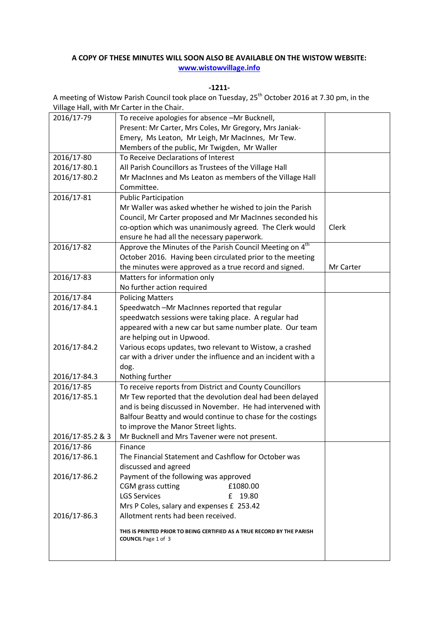## **A COPY OF THESE MINUTES WILL SOON ALSO BE AVAILABLE ON THE WISTOW WEBSITE: [www.wistowvillage.info](http://www.wistowvillage.info/)**

**-1211-**

A meeting of Wistow Parish Council took place on Tuesday, 25<sup>th</sup> October 2016 at 7.30 pm, in the Village Hall, with Mr Carter in the Chair.

| 2016/17-79       | To receive apologies for absence -Mr Bucknell,                          |           |
|------------------|-------------------------------------------------------------------------|-----------|
|                  | Present: Mr Carter, Mrs Coles, Mr Gregory, Mrs Janiak-                  |           |
|                  | Emery, Ms Leaton, Mr Leigh, Mr MacInnes, Mr Tew.                        |           |
|                  | Members of the public, Mr Twigden, Mr Waller                            |           |
| 2016/17-80       | To Receive Declarations of Interest                                     |           |
| 2016/17-80.1     | All Parish Councillors as Trustees of the Village Hall                  |           |
| 2016/17-80.2     | Mr MacInnes and Ms Leaton as members of the Village Hall                |           |
|                  | Committee.                                                              |           |
| 2016/17-81       | <b>Public Participation</b>                                             |           |
|                  | Mr Waller was asked whether he wished to join the Parish                |           |
|                  | Council, Mr Carter proposed and Mr MacInnes seconded his                |           |
|                  | co-option which was unanimously agreed. The Clerk would                 | Clerk     |
|                  | ensure he had all the necessary paperwork.                              |           |
| 2016/17-82       | Approve the Minutes of the Parish Council Meeting on 4 <sup>th</sup>    |           |
|                  | October 2016. Having been circulated prior to the meeting               |           |
|                  | the minutes were approved as a true record and signed.                  | Mr Carter |
| 2016/17-83       | Matters for information only                                            |           |
|                  | No further action required                                              |           |
| 2016/17-84       | <b>Policing Matters</b>                                                 |           |
| 2016/17-84.1     | Speedwatch -Mr MacInnes reported that regular                           |           |
|                  | speedwatch sessions were taking place. A regular had                    |           |
|                  | appeared with a new car but same number plate. Our team                 |           |
|                  | are helping out in Upwood.                                              |           |
| 2016/17-84.2     | Various ecops updates, two relevant to Wistow, a crashed                |           |
|                  | car with a driver under the influence and an incident with a            |           |
|                  | dog.                                                                    |           |
| 2016/17-84.3     | Nothing further                                                         |           |
| 2016/17-85       | To receive reports from District and County Councillors                 |           |
| 2016/17-85.1     | Mr Tew reported that the devolution deal had been delayed               |           |
|                  | and is being discussed in November. He had intervened with              |           |
|                  | Balfour Beatty and would continue to chase for the costings             |           |
|                  | to improve the Manor Street lights.                                     |           |
| 2016/17-85.2 & 3 | Mr Bucknell and Mrs Tavener were not present.                           |           |
| 2016/17-86       | Finance                                                                 |           |
| 2016/17-86.1     | The Financial Statement and Cashflow for October was                    |           |
|                  | discussed and agreed                                                    |           |
| 2016/17-86.2     | Payment of the following was approved                                   |           |
|                  | CGM grass cutting<br>£1080.00                                           |           |
|                  | <b>LGS Services</b><br>19.80<br>£                                       |           |
|                  | Mrs P Coles, salary and expenses £ 253.42                               |           |
| 2016/17-86.3     | Allotment rents had been received.                                      |           |
|                  | THIS IS PRINTED PRIOR TO BEING CERTIFIED AS A TRUE RECORD BY THE PARISH |           |
|                  | <b>COUNCIL</b> Page 1 of 3                                              |           |
|                  |                                                                         |           |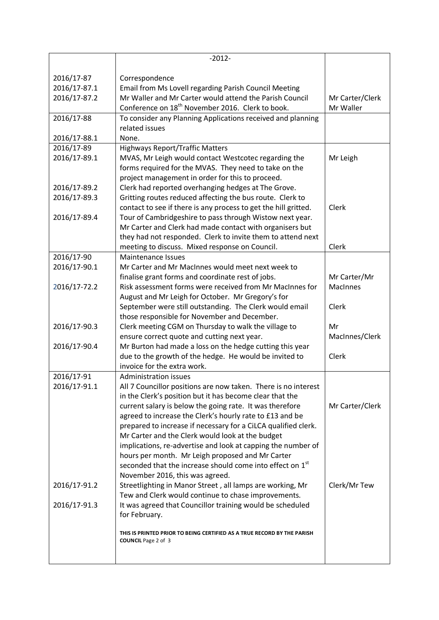|              | $-2012-$                                                                |                 |
|--------------|-------------------------------------------------------------------------|-----------------|
|              |                                                                         |                 |
| 2016/17-87   | Correspondence                                                          |                 |
| 2016/17-87.1 | Email from Ms Lovell regarding Parish Council Meeting                   |                 |
| 2016/17-87.2 | Mr Waller and Mr Carter would attend the Parish Council                 | Mr Carter/Clerk |
|              | Conference on 18 <sup>th</sup> November 2016. Clerk to book.            | Mr Waller       |
| 2016/17-88   | To consider any Planning Applications received and planning             |                 |
|              | related issues                                                          |                 |
| 2016/17-88.1 | None.                                                                   |                 |
| 2016/17-89   | <b>Highways Report/Traffic Matters</b>                                  |                 |
| 2016/17-89.1 | MVAS, Mr Leigh would contact Westcotec regarding the                    | Mr Leigh        |
|              | forms required for the MVAS. They need to take on the                   |                 |
|              | project management in order for this to proceed.                        |                 |
| 2016/17-89.2 | Clerk had reported overhanging hedges at The Grove.                     |                 |
| 2016/17-89.3 | Gritting routes reduced affecting the bus route. Clerk to               |                 |
|              | contact to see if there is any process to get the hill gritted.         | <b>Clerk</b>    |
| 2016/17-89.4 | Tour of Cambridgeshire to pass through Wistow next year.                |                 |
|              | Mr Carter and Clerk had made contact with organisers but                |                 |
|              | they had not responded. Clerk to invite them to attend next             |                 |
|              | meeting to discuss. Mixed response on Council.                          | Clerk           |
| 2016/17-90   | <b>Maintenance Issues</b>                                               |                 |
| 2016/17-90.1 | Mr Carter and Mr MacInnes would meet next week to                       |                 |
|              | finalise grant forms and coordinate rest of jobs.                       | Mr Carter/Mr    |
| 2016/17-72.2 | Risk assessment forms were received from Mr MacInnes for                | <b>MacInnes</b> |
|              | August and Mr Leigh for October. Mr Gregory's for                       |                 |
|              | September were still outstanding. The Clerk would email                 | Clerk           |
|              | those responsible for November and December.                            |                 |
| 2016/17-90.3 | Clerk meeting CGM on Thursday to walk the village to                    | Mr              |
|              | ensure correct quote and cutting next year.                             | MacInnes/Clerk  |
| 2016/17-90.4 | Mr Burton had made a loss on the hedge cutting this year                |                 |
|              | due to the growth of the hedge. He would be invited to                  | Clerk           |
|              | invoice for the extra work.                                             |                 |
| 2016/17-91   | <b>Administration issues</b>                                            |                 |
| 2016/17-91.1 | All 7 Councillor positions are now taken. There is no interest          |                 |
|              | in the Clerk's position but it has become clear that the                |                 |
|              | current salary is below the going rate. It was therefore                | Mr Carter/Clerk |
|              | agreed to increase the Clerk's hourly rate to £13 and be                |                 |
|              | prepared to increase if necessary for a CiLCA qualified clerk.          |                 |
|              | Mr Carter and the Clerk would look at the budget                        |                 |
|              | implications, re-advertise and look at capping the number of            |                 |
|              | hours per month. Mr Leigh proposed and Mr Carter                        |                 |
|              | seconded that the increase should come into effect on 1st               |                 |
|              | November 2016, this was agreed.                                         |                 |
| 2016/17-91.2 | Streetlighting in Manor Street, all lamps are working, Mr               | Clerk/Mr Tew    |
|              | Tew and Clerk would continue to chase improvements.                     |                 |
| 2016/17-91.3 | It was agreed that Councillor training would be scheduled               |                 |
|              | for February.                                                           |                 |
|              |                                                                         |                 |
|              | THIS IS PRINTED PRIOR TO BEING CERTIFIED AS A TRUE RECORD BY THE PARISH |                 |
|              | <b>COUNCIL</b> Page 2 of 3                                              |                 |
|              |                                                                         |                 |
|              |                                                                         |                 |